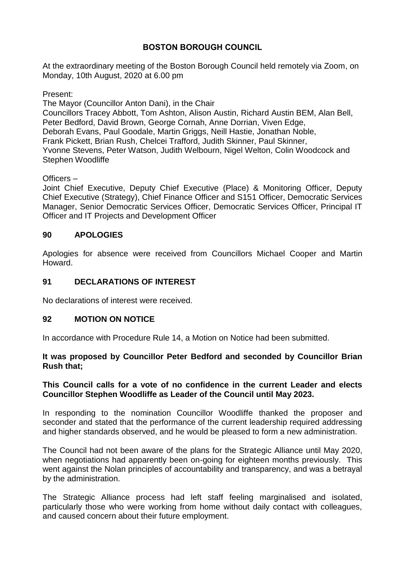# **BOSTON BOROUGH COUNCIL**

At the extraordinary meeting of the Boston Borough Council held remotely via Zoom, on Monday, 10th August, 2020 at 6.00 pm

Present:

The Mayor (Councillor Anton Dani), in the Chair Councillors Tracey Abbott, Tom Ashton, Alison Austin, Richard Austin BEM, Alan Bell, Peter Bedford, David Brown, George Cornah, Anne Dorrian, Viven Edge, Deborah Evans, Paul Goodale, Martin Griggs, Neill Hastie, Jonathan Noble, Frank Pickett, Brian Rush, Chelcei Trafford, Judith Skinner, Paul Skinner, Yvonne Stevens, Peter Watson, Judith Welbourn, Nigel Welton, Colin Woodcock and Stephen Woodliffe

### Officers –

Joint Chief Executive, Deputy Chief Executive (Place) & Monitoring Officer, Deputy Chief Executive (Strategy), Chief Finance Officer and S151 Officer, Democratic Services Manager, Senior Democratic Services Officer, Democratic Services Officer, Principal IT Officer and IT Projects and Development Officer

# **90 APOLOGIES**

Apologies for absence were received from Councillors Michael Cooper and Martin Howard.

### **91 DECLARATIONS OF INTEREST**

No declarations of interest were received.

#### **92 MOTION ON NOTICE**

In accordance with Procedure Rule 14, a Motion on Notice had been submitted.

#### **It was proposed by Councillor Peter Bedford and seconded by Councillor Brian Rush that;**

#### **This Council calls for a vote of no confidence in the current Leader and elects Councillor Stephen Woodliffe as Leader of the Council until May 2023.**

In responding to the nomination Councillor Woodliffe thanked the proposer and seconder and stated that the performance of the current leadership required addressing and higher standards observed, and he would be pleased to form a new administration.

The Council had not been aware of the plans for the Strategic Alliance until May 2020, when negotiations had apparently been on-going for eighteen months previously. This went against the Nolan principles of accountability and transparency, and was a betrayal by the administration.

The Strategic Alliance process had left staff feeling marginalised and isolated, particularly those who were working from home without daily contact with colleagues, and caused concern about their future employment.